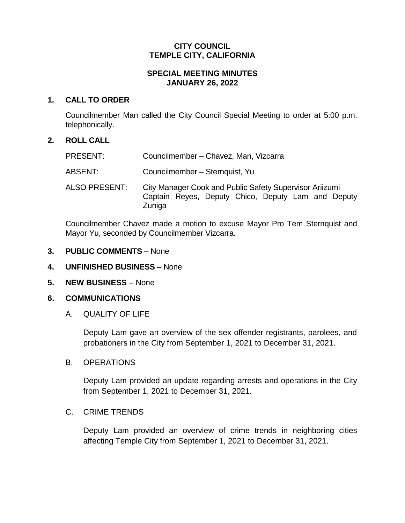### **CITY COUNCIL TEMPLE CITY, CALIFORNIA**

# **SPECIAL MEETING MINUTES JANUARY 26, 2022**

## **1. CALL TO ORDER**

Councilmember Man called the City Council Special Meeting to order at 5:00 p.m. telephonically.

# **2. ROLL CALL**

| <b>PRESENT:</b> | Councilmember - Chavez, Man, Vizcarra                                                                                   |
|-----------------|-------------------------------------------------------------------------------------------------------------------------|
| ABSENT:         | Councilmember - Sternquist, Yu                                                                                          |
| ALSO PRESENT:   | City Manager Cook and Public Safety Supervisor Ariizumi<br>Captain Reyes, Deputy Chico, Deputy Lam and Deputy<br>Zuniga |

Councilmember Chavez made a motion to excuse Mayor Pro Tem Sternquist and Mayor Yu, seconded by Councilmember Vizcarra.

- **3. PUBLIC COMMENTS** None
- **4. UNFINISHED BUSINESS** None
- **5. NEW BUSINESS** None

# **6. COMMUNICATIONS**

A. QUALITY OF LIFE

Deputy Lam gave an overview of the sex offender registrants, parolees, and probationers in the City from September 1, 2021 to December 31, 2021.

B. OPERATIONS

Deputy Lam provided an update regarding arrests and operations in the City from September 1, 2021 to December 31, 2021.

### C. CRIME TRENDS

Deputy Lam provided an overview of crime trends in neighboring cities affecting Temple City from September 1, 2021 to December 31, 2021.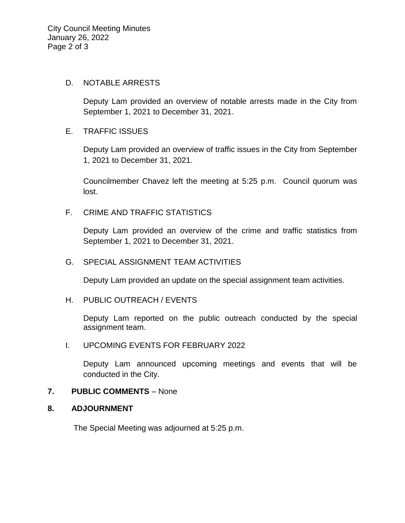### D. NOTABLE ARRESTS

Deputy Lam provided an overview of notable arrests made in the City from September 1, 2021 to December 31, 2021.

# E. TRAFFIC ISSUES

Deputy Lam provided an overview of traffic issues in the City from September 1, 2021 to December 31, 2021.

Councilmember Chavez left the meeting at 5:25 p.m. Council quorum was lost.

# F. CRIME AND TRAFFIC STATISTICS

Deputy Lam provided an overview of the crime and traffic statistics from September 1, 2021 to December 31, 2021.

## G. SPECIAL ASSIGNMENT TEAM ACTIVITIES

Deputy Lam provided an update on the special assignment team activities.

### H. PUBLIC OUTREACH / EVENTS

Deputy Lam reported on the public outreach conducted by the special assignment team.

### I. UPCOMING EVENTS FOR FEBRUARY 2022

Deputy Lam announced upcoming meetings and events that will be conducted in the City.

### **7. PUBLIC COMMENTS** – None

### **8. ADJOURNMENT**

The Special Meeting was adjourned at 5:25 p.m.